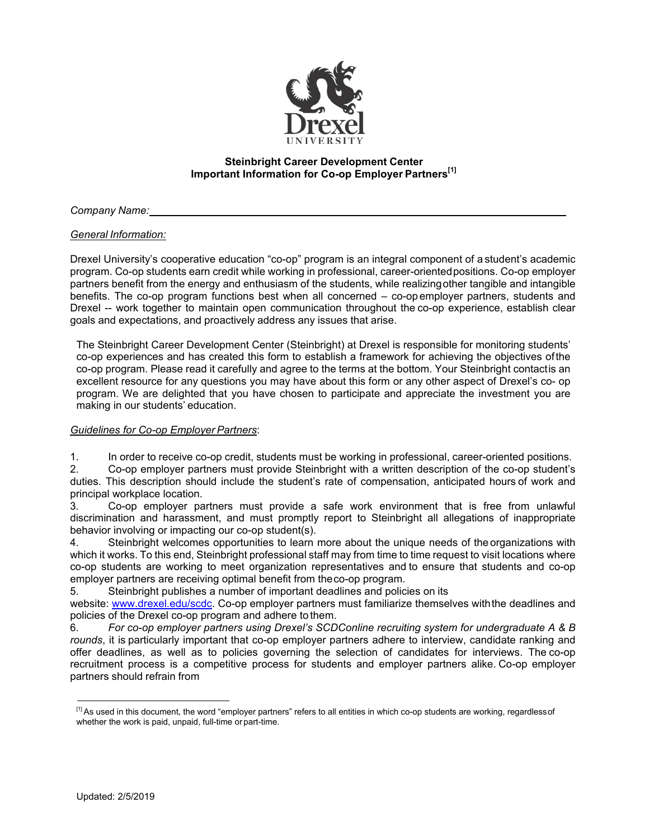

## **Steinbright Career Development Center Important Information for Co-op Employer Partners[1]**

*Company Name:*

## *General Information:*

Drexel University's cooperative education "co-op" program is an integral component of a student's academic program. Co-op students earn credit while working in professional, career-orientedpositions. Co-op employer partners benefit from the energy and enthusiasm of the students, while realizingother tangible and intangible benefits. The co-op program functions best when all concerned – co-op employer partners, students and Drexel -- work together to maintain open communication throughout the co-op experience, establish clear goals and expectations, and proactively address any issues that arise.

The Steinbright Career Development Center (Steinbright) at Drexel is responsible for monitoring students' co-op experiences and has created this form to establish a framework for achieving the objectives ofthe co-op program. Please read it carefully and agree to the terms at the bottom. Your Steinbright contactis an excellent resource for any questions you may have about this form or any other aspect of Drexel's co- op program. We are delighted that you have chosen to participate and appreciate the investment you are making in our students' education.

## *Guidelines for Co-op Employer Partners*:

1. In order to receive co-op credit, students must be working in professional, career-oriented positions.

2. Co-op employer partners must provide Steinbright with a written description of the co-op student's duties. This description should include the student's rate of compensation, anticipated hours of work and principal workplace location.

3. Co-op employer partners must provide a safe work environment that is free from unlawful discrimination and harassment, and must promptly report to Steinbright all allegations of inappropriate behavior involving or impacting our co-op student(s).

4. Steinbright welcomes opportunities to learn more about the unique needs of theorganizations with which it works. To this end, Steinbright professional staff may from time to time request to visit locations where co-op students are working to meet organization representatives and to ensure that students and co-op employer partners are receiving optimal benefit from theco-op program.

5. Steinbright publishes a number of important deadlines and policies on its

website: www.drexel.edu/scdc. Co-op employer partners must familiarize themselves withthe deadlines and policies of the Drexel co-op program and adhere to them.

6. *For co-op employer partners using Drexel's SCDConline recruiting system for undergraduate A & B rounds*, it is particularly important that co-op employer partners adhere to interview, candidate ranking and offer deadlines, as well as to policies governing the selection of candidates for interviews. The co-op recruitment process is a competitive process for students and employer partners alike. Co-op employer partners should refrain from

<sup>[1]</sup> As used in this document, the word "employer partners" refers to all entities in which co-op students are working, regardlessof whether the work is paid, unpaid, full-time or part-time.